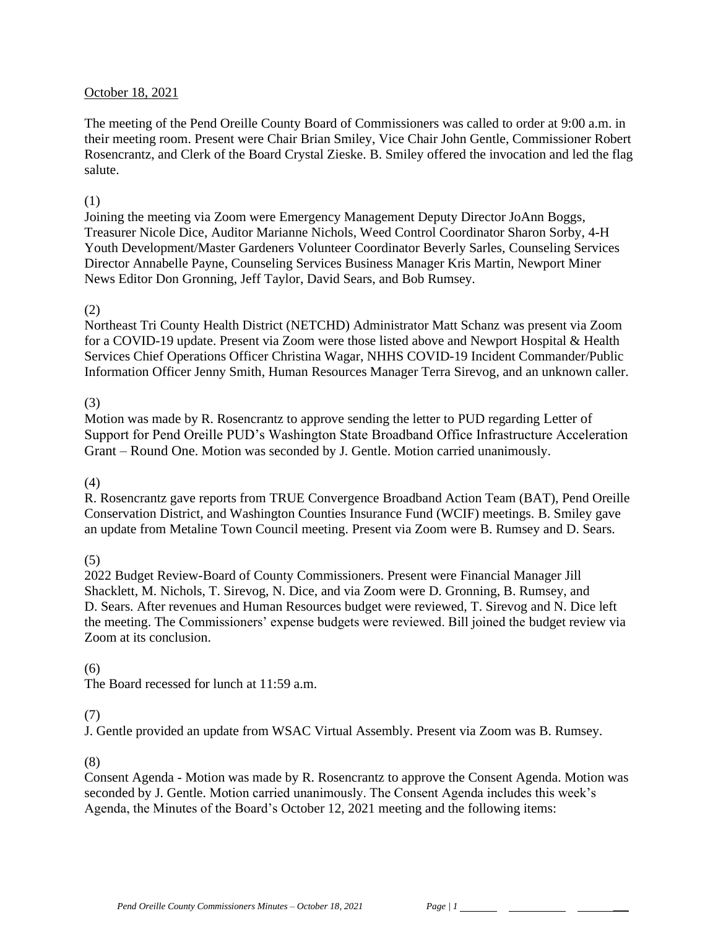#### October 18, 2021

The meeting of the Pend Oreille County Board of Commissioners was called to order at 9:00 a.m. in their meeting room. Present were Chair Brian Smiley, Vice Chair John Gentle, Commissioner Robert Rosencrantz, and Clerk of the Board Crystal Zieske. B. Smiley offered the invocation and led the flag salute.

#### (1)

Joining the meeting via Zoom were Emergency Management Deputy Director JoAnn Boggs, Treasurer Nicole Dice, Auditor Marianne Nichols, Weed Control Coordinator Sharon Sorby, 4-H Youth Development/Master Gardeners Volunteer Coordinator Beverly Sarles, Counseling Services Director Annabelle Payne, Counseling Services Business Manager Kris Martin, Newport Miner News Editor Don Gronning, Jeff Taylor, David Sears, and Bob Rumsey.

#### (2)

Northeast Tri County Health District (NETCHD) Administrator Matt Schanz was present via Zoom for a COVID-19 update. Present via Zoom were those listed above and Newport Hospital & Health Services Chief Operations Officer Christina Wagar, NHHS COVID-19 Incident Commander/Public Information Officer Jenny Smith, Human Resources Manager Terra Sirevog, and an unknown caller.

#### (3)

Motion was made by R. Rosencrantz to approve sending the letter to PUD regarding Letter of Support for Pend Oreille PUD's Washington State Broadband Office Infrastructure Acceleration Grant – Round One. Motion was seconded by J. Gentle. Motion carried unanimously.

#### (4)

R. Rosencrantz gave reports from TRUE Convergence Broadband Action Team (BAT), Pend Oreille Conservation District, and Washington Counties Insurance Fund (WCIF) meetings. B. Smiley gave an update from Metaline Town Council meeting. Present via Zoom were B. Rumsey and D. Sears.

### (5)

2022 Budget Review-Board of County Commissioners. Present were Financial Manager Jill Shacklett, M. Nichols, T. Sirevog, N. Dice, and via Zoom were D. Gronning, B. Rumsey, and D. Sears. After revenues and Human Resources budget were reviewed, T. Sirevog and N. Dice left the meeting. The Commissioners' expense budgets were reviewed. Bill joined the budget review via Zoom at its conclusion.

### (6)

The Board recessed for lunch at 11:59 a.m.

### (7)

J. Gentle provided an update from WSAC Virtual Assembly. Present via Zoom was B. Rumsey.

#### (8)

Consent Agenda - Motion was made by R. Rosencrantz to approve the Consent Agenda. Motion was seconded by J. Gentle. Motion carried unanimously. The Consent Agenda includes this week's Agenda, the Minutes of the Board's October 12, 2021 meeting and the following items: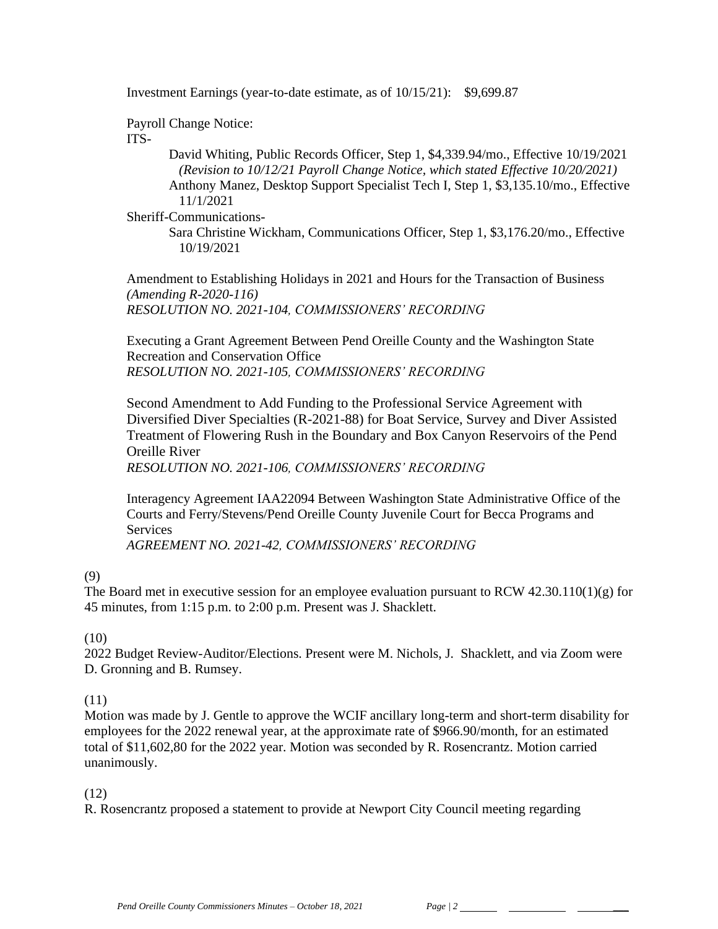Investment Earnings (year-to-date estimate, as of 10/15/21): \$9,699.87

Payroll Change Notice:

ITS-

David Whiting, Public Records Officer, Step 1, \$4,339.94/mo., Effective 10/19/2021 *(Revision to 10/12/21 Payroll Change Notice, which stated Effective 10/20/2021)* Anthony Manez, Desktop Support Specialist Tech I, Step 1, \$3,135.10/mo., Effective 11/1/2021

Sheriff-Communications-

Sara Christine Wickham, Communications Officer, Step 1, \$3,176.20/mo., Effective 10/19/2021

Amendment to Establishing Holidays in 2021 and Hours for the Transaction of Business *(Amending R-2020-116) RESOLUTION NO. 2021-104, COMMISSIONERS' RECORDING* 

Executing a Grant Agreement Between Pend Oreille County and the Washington State Recreation and Conservation Office *RESOLUTION NO. 2021-105, COMMISSIONERS' RECORDING* 

Second Amendment to Add Funding to the Professional Service Agreement with Diversified Diver Specialties (R-2021-88) for Boat Service, Survey and Diver Assisted Treatment of Flowering Rush in the Boundary and Box Canyon Reservoirs of the Pend Oreille River

*RESOLUTION NO. 2021-106, COMMISSIONERS' RECORDING* 

Interagency Agreement IAA22094 Between Washington State Administrative Office of the Courts and Ferry/Stevens/Pend Oreille County Juvenile Court for Becca Programs and Services

*AGREEMENT NO. 2021-42, COMMISSIONERS' RECORDING*

(9)

The Board met in executive session for an employee evaluation pursuant to RCW 42.30.110(1)(g) for 45 minutes, from 1:15 p.m. to 2:00 p.m. Present was J. Shacklett.

(10)

2022 Budget Review-Auditor/Elections. Present were M. Nichols, J. Shacklett, and via Zoom were D. Gronning and B. Rumsey.

### (11)

Motion was made by J. Gentle to approve the WCIF ancillary long-term and short-term disability for employees for the 2022 renewal year, at the approximate rate of \$966.90/month, for an estimated total of \$11,602,80 for the 2022 year. Motion was seconded by R. Rosencrantz. Motion carried unanimously.

(12)

R. Rosencrantz proposed a statement to provide at Newport City Council meeting regarding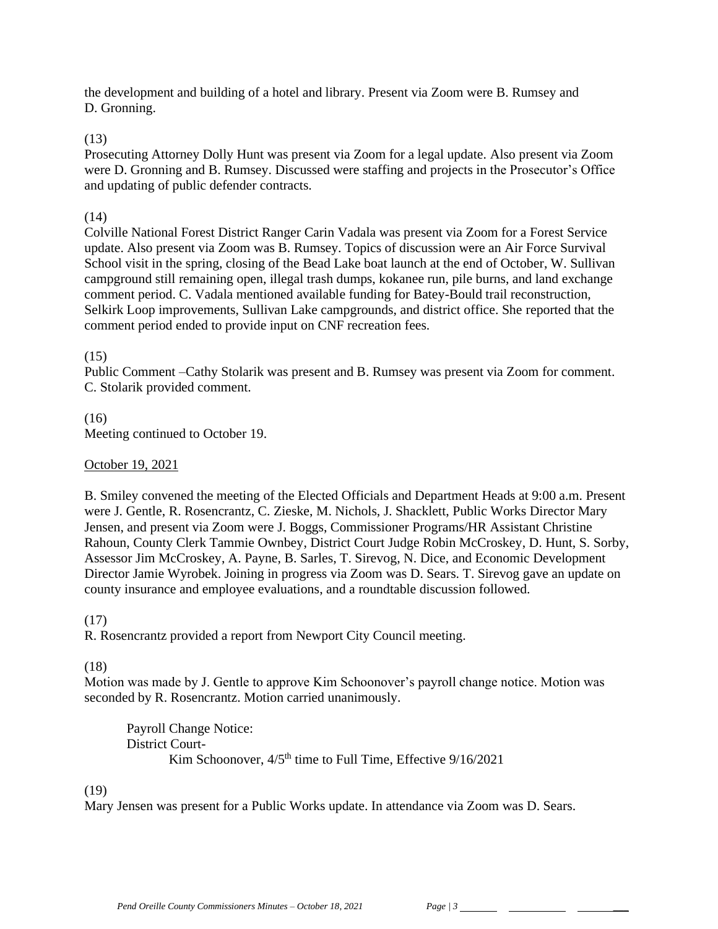the development and building of a hotel and library. Present via Zoom were B. Rumsey and D. Gronning.

### (13)

Prosecuting Attorney Dolly Hunt was present via Zoom for a legal update. Also present via Zoom were D. Gronning and B. Rumsey. Discussed were staffing and projects in the Prosecutor's Office and updating of public defender contracts.

### (14)

Colville National Forest District Ranger Carin Vadala was present via Zoom for a Forest Service update. Also present via Zoom was B. Rumsey. Topics of discussion were an Air Force Survival School visit in the spring, closing of the Bead Lake boat launch at the end of October, W. Sullivan campground still remaining open, illegal trash dumps, kokanee run, pile burns, and land exchange comment period. C. Vadala mentioned available funding for Batey-Bould trail reconstruction, Selkirk Loop improvements, Sullivan Lake campgrounds, and district office. She reported that the comment period ended to provide input on CNF recreation fees.

### (15)

Public Comment –Cathy Stolarik was present and B. Rumsey was present via Zoom for comment. C. Stolarik provided comment.

(16) Meeting continued to October 19.

## October 19, 2021

B. Smiley convened the meeting of the Elected Officials and Department Heads at 9:00 a.m. Present were J. Gentle, R. Rosencrantz, C. Zieske, M. Nichols, J. Shacklett, Public Works Director Mary Jensen, and present via Zoom were J. Boggs, Commissioner Programs/HR Assistant Christine Rahoun, County Clerk Tammie Ownbey, District Court Judge Robin McCroskey, D. Hunt, S. Sorby, Assessor Jim McCroskey, A. Payne, B. Sarles, T. Sirevog, N. Dice, and Economic Development Director Jamie Wyrobek. Joining in progress via Zoom was D. Sears. T. Sirevog gave an update on county insurance and employee evaluations, and a roundtable discussion followed.

### (17)

R. Rosencrantz provided a report from Newport City Council meeting.

# (18)

Motion was made by J. Gentle to approve Kim Schoonover's payroll change notice. Motion was seconded by R. Rosencrantz. Motion carried unanimously.

Payroll Change Notice: District Court-Kim Schoonover,  $4/5<sup>th</sup>$  time to Full Time, Effective  $9/16/2021$ 

### (19)

Mary Jensen was present for a Public Works update. In attendance via Zoom was D. Sears.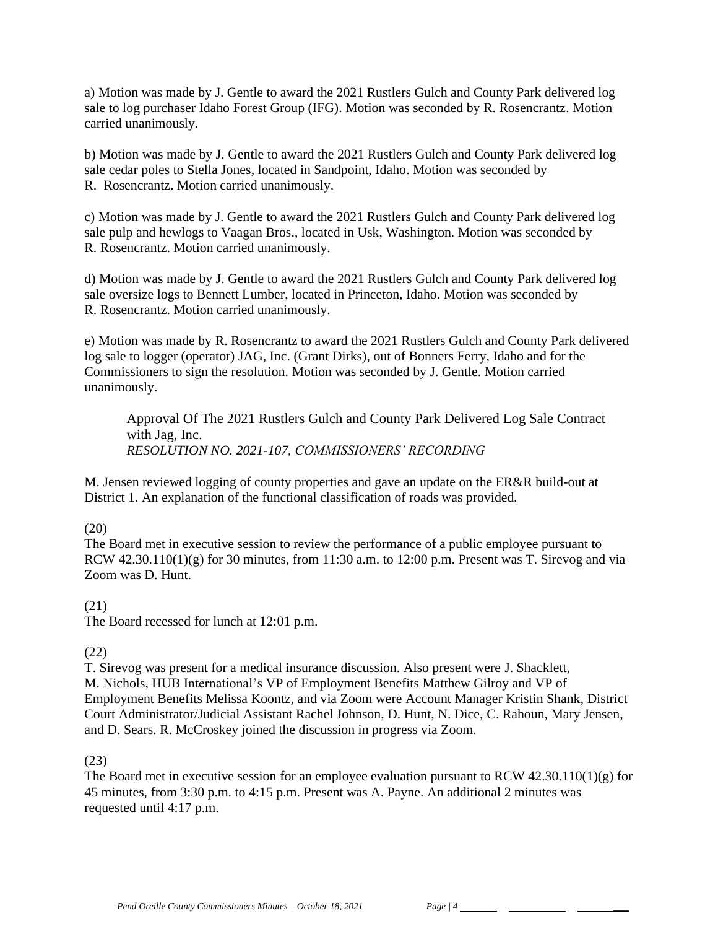a) Motion was made by J. Gentle to award the 2021 Rustlers Gulch and County Park delivered log sale to log purchaser Idaho Forest Group (IFG). Motion was seconded by R. Rosencrantz. Motion carried unanimously.

b) Motion was made by J. Gentle to award the 2021 Rustlers Gulch and County Park delivered log sale cedar poles to Stella Jones, located in Sandpoint, Idaho. Motion was seconded by R. Rosencrantz. Motion carried unanimously.

c) Motion was made by J. Gentle to award the 2021 Rustlers Gulch and County Park delivered log sale pulp and hewlogs to Vaagan Bros., located in Usk, Washington. Motion was seconded by R. Rosencrantz. Motion carried unanimously.

d) Motion was made by J. Gentle to award the 2021 Rustlers Gulch and County Park delivered log sale oversize logs to Bennett Lumber, located in Princeton, Idaho. Motion was seconded by R. Rosencrantz. Motion carried unanimously.

e) Motion was made by R. Rosencrantz to award the 2021 Rustlers Gulch and County Park delivered log sale to logger (operator) JAG, Inc. (Grant Dirks), out of Bonners Ferry, Idaho and for the Commissioners to sign the resolution. Motion was seconded by J. Gentle. Motion carried unanimously.

Approval Of The 2021 Rustlers Gulch and County Park Delivered Log Sale Contract with Jag, Inc. *RESOLUTION NO. 2021-107, COMMISSIONERS' RECORDING* 

M. Jensen reviewed logging of county properties and gave an update on the ER&R build-out at District 1. An explanation of the functional classification of roads was provided.

(20)

The Board met in executive session to review the performance of a public employee pursuant to RCW  $42.30.110(1)(g)$  for 30 minutes, from 11:30 a.m. to 12:00 p.m. Present was T. Sirevog and via Zoom was D. Hunt.

### (21)

The Board recessed for lunch at 12:01 p.m.

# (22)

T. Sirevog was present for a medical insurance discussion. Also present were J. Shacklett, M. Nichols, HUB International's VP of Employment Benefits Matthew Gilroy and VP of Employment Benefits Melissa Koontz, and via Zoom were Account Manager Kristin Shank, District Court Administrator/Judicial Assistant Rachel Johnson, D. Hunt, N. Dice, C. Rahoun, Mary Jensen, and D. Sears. R. McCroskey joined the discussion in progress via Zoom.

### (23)

The Board met in executive session for an employee evaluation pursuant to RCW 42.30.110(1)(g) for 45 minutes, from 3:30 p.m. to 4:15 p.m. Present was A. Payne. An additional 2 minutes was requested until 4:17 p.m.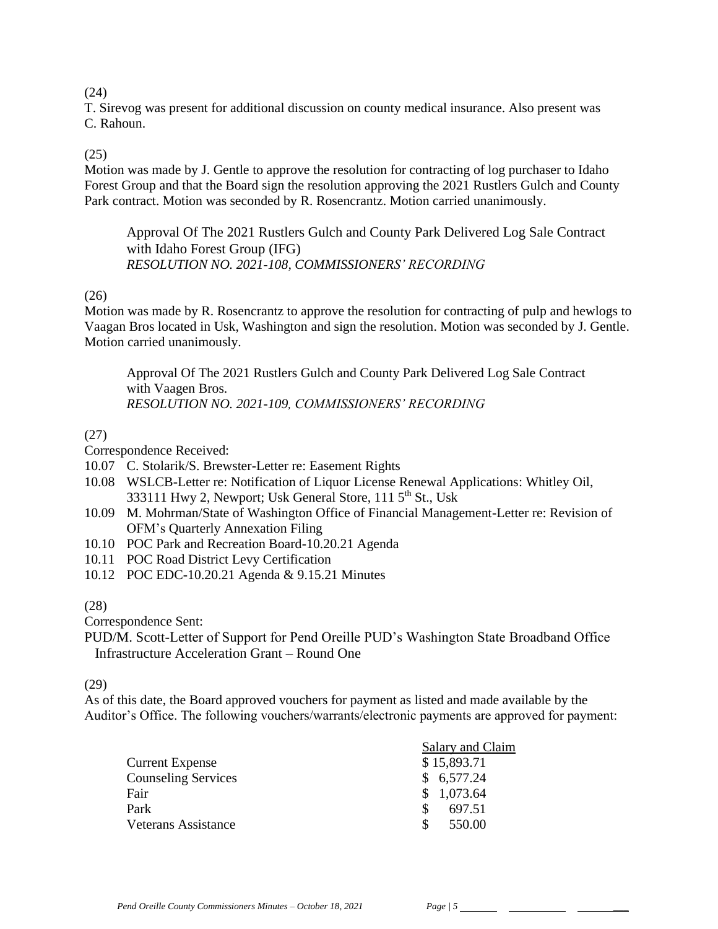(24)

T. Sirevog was present for additional discussion on county medical insurance. Also present was C. Rahoun.

# (25)

Motion was made by J. Gentle to approve the resolution for contracting of log purchaser to Idaho Forest Group and that the Board sign the resolution approving the 2021 Rustlers Gulch and County Park contract. Motion was seconded by R. Rosencrantz. Motion carried unanimously.

Approval Of The 2021 Rustlers Gulch and County Park Delivered Log Sale Contract with Idaho Forest Group (IFG) *RESOLUTION NO. 2021-108, COMMISSIONERS' RECORDING* 

### (26)

Motion was made by R. Rosencrantz to approve the resolution for contracting of pulp and hewlogs to Vaagan Bros located in Usk, Washington and sign the resolution. Motion was seconded by J. Gentle. Motion carried unanimously.

Approval Of The 2021 Rustlers Gulch and County Park Delivered Log Sale Contract with Vaagen Bros. *RESOLUTION NO. 2021-109, COMMISSIONERS' RECORDING* 

# (27)

Correspondence Received:

- 10.07 C. Stolarik/S. Brewster-Letter re: Easement Rights
- 10.08 WSLCB-Letter re: Notification of Liquor License Renewal Applications: Whitley Oil, 333111 Hwy 2, Newport; Usk General Store, 111 5<sup>th</sup> St., Usk
- 10.09 M. Mohrman/State of Washington Office of Financial Management-Letter re: Revision of OFM's Quarterly Annexation Filing
- 10.10 POC Park and Recreation Board-10.20.21 Agenda
- 10.11 POC Road District Levy Certification
- 10.12 POC EDC-10.20.21 Agenda & 9.15.21 Minutes

# (28)

Correspondence Sent:

PUD/M. Scott-Letter of Support for Pend Oreille PUD's Washington State Broadband Office Infrastructure Acceleration Grant – Round One

(29)

As of this date, the Board approved vouchers for payment as listed and made available by the Auditor's Office. The following vouchers/warrants/electronic payments are approved for payment:

|                            | Salary and Claim |
|----------------------------|------------------|
| Current Expense            | \$15,893.71      |
| <b>Counseling Services</b> | \$6,577.24       |
| Fair                       | \$1,073.64       |
| Park                       | 697.51           |
| Veterans Assistance        | 550.00           |
|                            |                  |